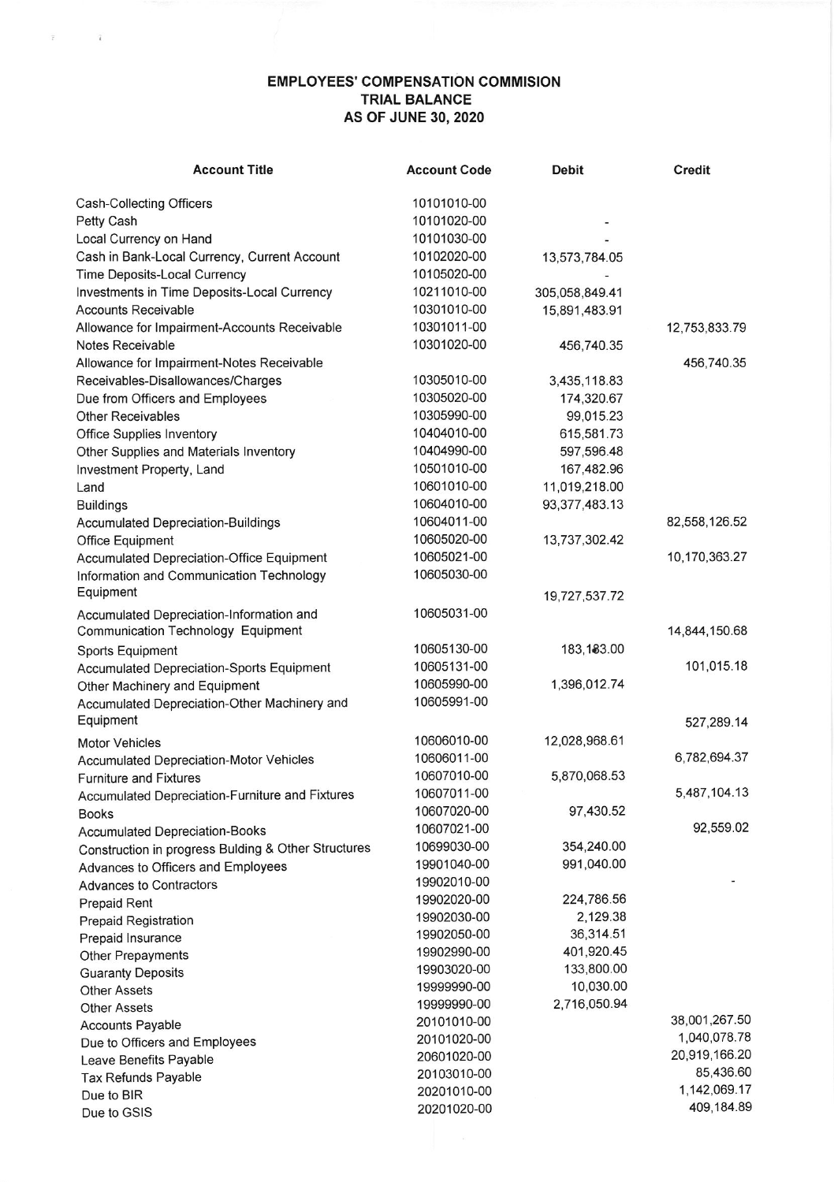## EMPLOYEES' COMPENSATION COMMISION TRIAL BALANCE AS OF JUNE 30, 2O2O

 $\overline{r}$  ,  $\overline{r}$ 

| <b>Account Title</b>                                | <b>Account Code</b> | <b>Debit</b>     | <b>Credit</b> |
|-----------------------------------------------------|---------------------|------------------|---------------|
| Cash-Collecting Officers                            | 10101010-00         |                  |               |
| Petty Cash                                          | 10101020-00         |                  |               |
| Local Currency on Hand                              | 10101030-00         |                  |               |
| Cash in Bank-Local Currency, Current Account        | 10102020-00         | 13,573,784.05    |               |
| Time Deposits-Local Currency                        | 10105020-00         |                  |               |
| Investments in Time Deposits-Local Currency         | 10211010-00         | 305,058,849.41   |               |
| <b>Accounts Receivable</b>                          | 10301010-00         | 15,891,483.91    |               |
| Allowance for Impairment-Accounts Receivable        | 10301011-00         |                  | 12,753,833.79 |
| Notes Receivable                                    | 10301020-00         | 456,740.35       |               |
| Allowance for Impairment-Notes Receivable           |                     |                  | 456,740.35    |
| Receivables-Disallowances/Charges                   | 10305010-00         | 3,435,118.83     |               |
| Due from Officers and Employees                     | 10305020-00         | 174,320.67       |               |
| <b>Other Receivables</b>                            | 10305990-00         | 99,015.23        |               |
| <b>Office Supplies Inventory</b>                    | 10404010-00         | 615,581.73       |               |
| Other Supplies and Materials Inventory              | 10404990-00         | 597,596.48       |               |
| Investment Property, Land                           | 10501010-00         | 167,482.96       |               |
| Land                                                | 10601010-00         | 11,019,218.00    |               |
| <b>Buildings</b>                                    | 10604010-00         | 93, 377, 483. 13 |               |
| <b>Accumulated Depreciation-Buildings</b>           | 10604011-00         |                  | 82,558,126.52 |
| Office Equipment                                    | 10605020-00         | 13,737,302.42    |               |
| Accumulated Depreciation-Office Equipment           | 10605021-00         |                  | 10,170,363.27 |
| Information and Communication Technology            | 10605030-00         |                  |               |
| Equipment                                           |                     | 19,727,537.72    |               |
| Accumulated Depreciation-Information and            | 10605031-00         |                  |               |
| <b>Communication Technology Equipment</b>           |                     |                  | 14,844,150.68 |
| Sports Equipment                                    | 10605130-00         | 183,183.00       |               |
| <b>Accumulated Depreciation-Sports Equipment</b>    | 10605131-00         |                  | 101,015.18    |
| Other Machinery and Equipment                       | 10605990-00         | 1,396,012.74     |               |
| Accumulated Depreciation-Other Machinery and        | 10605991-00         |                  |               |
| Equipment                                           |                     |                  | 527,289.14    |
| <b>Motor Vehicles</b>                               | 10606010-00         | 12,028,968.61    |               |
| <b>Accumulated Depreciation-Motor Vehicles</b>      | 10606011-00         |                  | 6,782,694.37  |
| <b>Furniture and Fixtures</b>                       | 10607010-00         | 5,870,068.53     |               |
| Accumulated Depreciation-Furniture and Fixtures     | 10607011-00         |                  | 5,487,104.13  |
| <b>Books</b>                                        | 10607020-00         | 97,430.52        |               |
| <b>Accumulated Depreciation-Books</b>               | 10607021-00         |                  | 92,559.02     |
| Construction in progress Bulding & Other Structures | 10699030-00         | 354,240.00       |               |
| Advances to Officers and Employees                  | 19901040-00         | 991,040.00       |               |
| <b>Advances to Contractors</b>                      | 19902010-00         |                  |               |
| <b>Prepaid Rent</b>                                 | 19902020-00         | 224,786.56       |               |
| <b>Prepaid Registration</b>                         | 19902030-00         | 2,129.38         |               |
| Prepaid Insurance                                   | 19902050-00         | 36,314.51        |               |
| Other Prepayments                                   | 19902990-00         | 401,920.45       |               |
| <b>Guaranty Deposits</b>                            | 19903020-00         | 133,800.00       |               |
| <b>Other Assets</b>                                 | 19999990-00         | 10,030.00        |               |
| <b>Other Assets</b>                                 | 19999990-00         | 2,716,050.94     |               |
| <b>Accounts Payable</b>                             | 20101010-00         |                  | 38,001,267.50 |
| Due to Officers and Employees                       | 20101020-00         |                  | 1,040,078.78  |
| Leave Benefits Payable                              | 20601020-00         |                  | 20,919,166.20 |
| Tax Refunds Payable                                 | 20103010-00         |                  | 85,436.60     |
| Due to BIR                                          | 20201010-00         |                  | 1,142,069.17  |
| Due to GSIS                                         | 20201020-00         |                  | 409,184.89    |
|                                                     |                     |                  |               |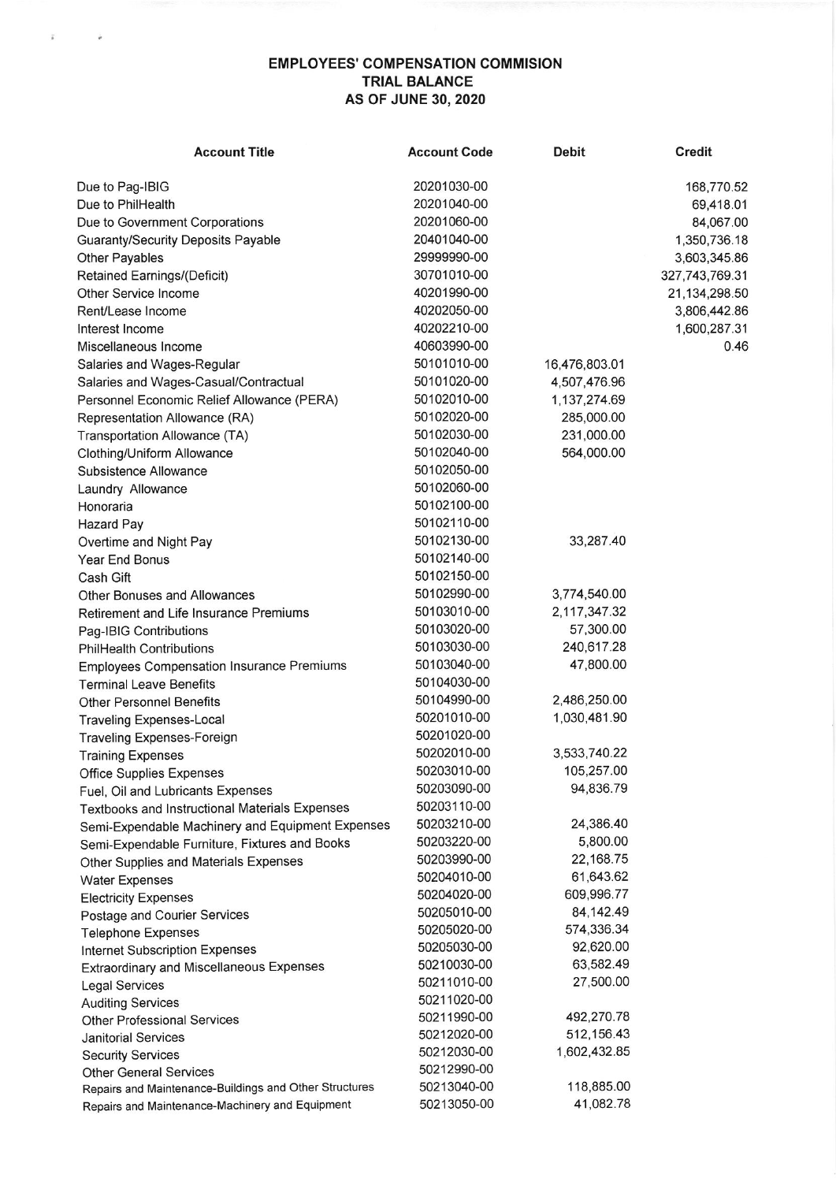## EMPLOYEES' COMPENSATION COMMISION TRIAL BALANCE AS OF JUNE 30,2O2O

 $\bar{\rm a}$ 

 $\bar{\nu}$ 

| <b>Account Title</b>                                                                    | <b>Account Code</b>        | <b>Debit</b>            | Credit         |
|-----------------------------------------------------------------------------------------|----------------------------|-------------------------|----------------|
| Due to Pag-IBIG                                                                         | 20201030-00                |                         | 168,770.52     |
| Due to PhilHealth                                                                       | 20201040-00                |                         | 69,418.01      |
| Due to Government Corporations                                                          | 20201060-00                |                         | 84,067.00      |
| <b>Guaranty/Security Deposits Payable</b>                                               | 20401040-00                |                         | 1,350,736.18   |
| Other Payables                                                                          | 29999990-00                |                         | 3,603,345.86   |
| Retained Earnings/(Deficit)                                                             | 30701010-00                |                         | 327,743,769.31 |
| Other Service Income                                                                    | 40201990-00                |                         | 21,134,298.50  |
| Rent/Lease Income                                                                       | 40202050-00                |                         | 3,806,442.86   |
| Interest Income                                                                         | 40202210-00                |                         | 1,600,287.31   |
| Miscellaneous Income                                                                    | 40603990-00                |                         | 0.46           |
| Salaries and Wages-Regular                                                              | 50101010-00                | 16,476,803.01           |                |
| Salaries and Wages-Casual/Contractual                                                   | 50101020-00                | 4,507,476.96            |                |
| Personnel Economic Relief Allowance (PERA)                                              | 50102010-00                | 1,137,274.69            |                |
| Representation Allowance (RA)                                                           | 50102020-00                | 285,000.00              |                |
| Transportation Allowance (TA)                                                           | 50102030-00                | 231,000.00              |                |
| Clothing/Uniform Allowance                                                              | 50102040-00                | 564,000.00              |                |
| Subsistence Allowance                                                                   | 50102050-00                |                         |                |
| Laundry Allowance                                                                       | 50102060-00                |                         |                |
| Honoraria                                                                               | 50102100-00                |                         |                |
| Hazard Pay                                                                              | 50102110-00                |                         |                |
| Overtime and Night Pay                                                                  | 50102130-00                | 33,287.40               |                |
| Year End Bonus                                                                          | 50102140-00                |                         |                |
| Cash Gift                                                                               | 50102150-00                |                         |                |
| Other Bonuses and Allowances                                                            | 50102990-00                | 3,774,540.00            |                |
| Retirement and Life Insurance Premiums                                                  | 50103010-00                | 2,117,347.32            |                |
|                                                                                         | 50103020-00                | 57,300.00               |                |
| Pag-IBIG Contributions                                                                  | 50103030-00                | 240,617.28              |                |
| <b>PhilHealth Contributions</b>                                                         | 50103040-00                | 47,800.00               |                |
| <b>Employees Compensation Insurance Premiums</b>                                        | 50104030-00                |                         |                |
| <b>Terminal Leave Benefits</b>                                                          | 50104990-00                | 2,486,250.00            |                |
| <b>Other Personnel Benefits</b>                                                         | 50201010-00                | 1,030,481.90            |                |
| <b>Traveling Expenses-Local</b>                                                         | 50201020-00                |                         |                |
| Traveling Expenses-Foreign                                                              | 50202010-00                | 3,533,740.22            |                |
| <b>Training Expenses</b>                                                                | 50203010-00                | 105,257.00              |                |
| <b>Office Supplies Expenses</b>                                                         |                            |                         |                |
| Fuel, Oil and Lubricants Expenses                                                       | 50203090-00                | 94,836.79               |                |
| <b>Textbooks and Instructional Materials Expenses</b>                                   | 50203110-00                | 24,386.40               |                |
| Semi-Expendable Machinery and Equipment Expenses                                        | 50203210-00                | 5,800.00                |                |
| Semi-Expendable Furniture, Fixtures and Books                                           | 50203220-00<br>50203990-00 | 22,168.75               |                |
| Other Supplies and Materials Expenses                                                   |                            | 61,643.62               |                |
| <b>Water Expenses</b>                                                                   | 50204010-00<br>50204020-00 | 609,996.77              |                |
| <b>Electricity Expenses</b>                                                             | 50205010-00                |                         |                |
| Postage and Courier Services                                                            | 50205020-00                | 84,142.49<br>574,336.34 |                |
| <b>Telephone Expenses</b>                                                               | 50205030-00                | 92,620.00               |                |
| <b>Internet Subscription Expenses</b>                                                   | 50210030-00                | 63,582.49               |                |
| Extraordinary and Miscellaneous Expenses                                                | 50211010-00                | 27,500.00               |                |
| <b>Legal Services</b>                                                                   |                            |                         |                |
| <b>Auditing Services</b>                                                                | 50211020-00<br>50211990-00 | 492,270.78              |                |
| <b>Other Professional Services</b>                                                      | 50212020-00                | 512,156.43              |                |
| <b>Janitorial Services</b>                                                              | 50212030-00                | 1,602,432.85            |                |
| <b>Security Services</b>                                                                | 50212990-00                |                         |                |
| <b>Other General Services</b><br>Repairs and Maintenance-Buildings and Other Structures | 50213040-00                | 118,885.00              |                |
| Repairs and Maintenance-Machinery and Equipment                                         | 50213050-00                | 41,082.78               |                |
|                                                                                         |                            |                         |                |